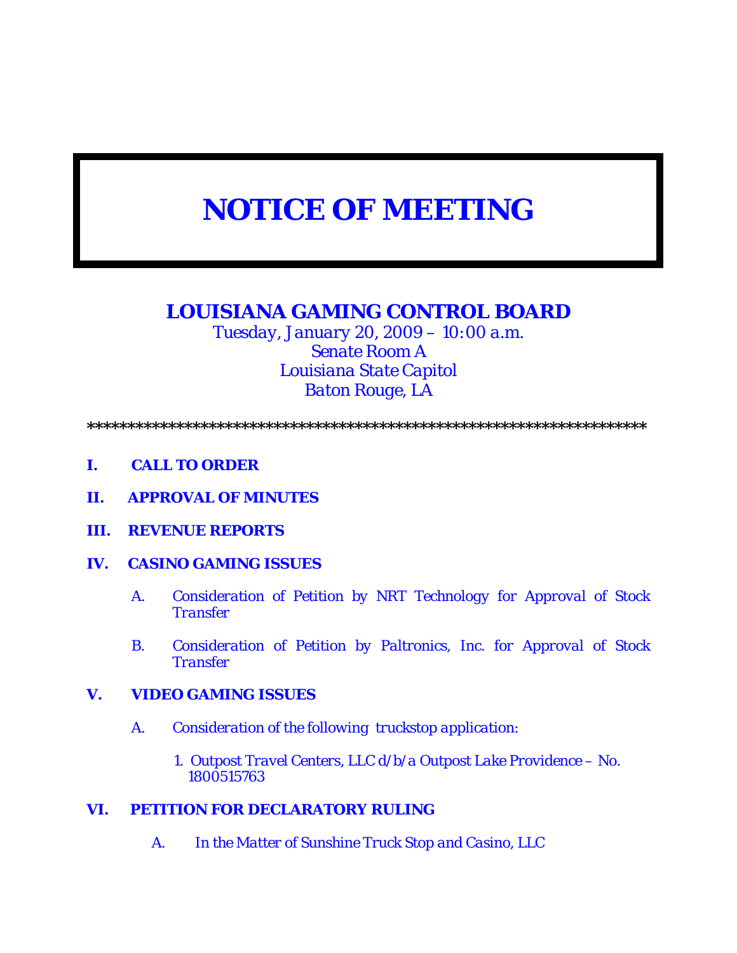# *NOTICE OF MEETING*

# *LOUISIANA GAMING CONTROL BOARD*

*Tuesday, January 20, 2009 – 10:00 a.m. Senate Room A Louisiana State Capitol Baton Rouge, LA* 

*\*\*\*\*\*\*\*\*\*\*\*\*\*\*\*\*\*\*\*\*\*\*\*\*\*\*\*\*\*\*\*\*\*\*\*\*\*\*\*\*\*\*\*\*\*\*\*\*\*\*\*\*\*\*\*\*\*\*\*\*\*\*\*\*\*\*\*\*\** 

- *I. CALL TO ORDER*
- *II. APPROVAL OF MINUTES*
- *III. REVENUE REPORTS*
- *IV. CASINO GAMING ISSUES* 
	- *A. Consideration of Petition by NRT Technology for Approval of Stock Transfer*
	- *B. Consideration of Petition by Paltronics, Inc. for Approval of Stock Transfer*

## *V. VIDEO GAMING ISSUES*

- *A. Consideration of the following truckstop application:* 
	- *1. Outpost Travel Centers, LLC d/b/a Outpost Lake Providence No. 1800515763*

## *VI. PETITION FOR DECLARATORY RULING*

*A. In the Matter of Sunshine Truck Stop and Casino, LLC*